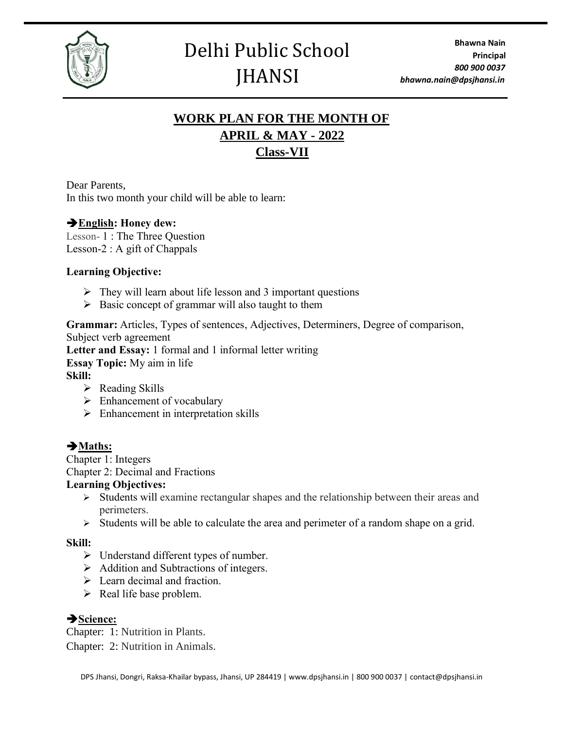

## **WORK PLAN FOR THE MONTH OF APRIL & MAY - 2022 Class-VII**

Dear Parents, In this two month your child will be able to learn:

## ➔**English: Honey dew:**

Lesson- 1 : The Three Question Lesson-2 : A gift of Chappals

#### **Learning Objective:**

- $\triangleright$  They will learn about life lesson and 3 important questions
- $\triangleright$  Basic concept of grammar will also taught to them

**Grammar:** Articles, Types of sentences, Adjectives, Determiners, Degree of comparison, Subject verb agreement **Letter and Essay:** 1 formal and 1 informal letter writing **Essay Topic:** My aim in life **Skill:**

- $\triangleright$  Reading Skills
- ➢ Enhancement of vocabulary
- $\triangleright$  Enhancement in interpretation skills

## ➔**Maths:**

Chapter 1: Integers Chapter 2: Decimal and Fractions

#### **Learning Objectives:**

- ➢ Students will examine rectangular shapes and the relationship between their areas and perimeters.
- ➢ Students will be able to calculate the area and perimeter of a random shape on a grid.

## **Skill:**

- ➢ Understand different types of number.
- ➢ Addition and Subtractions of integers.
- $\triangleright$  Learn decimal and fraction.
- $\triangleright$  Real life base problem.

## ➔**Science:**

Chapter: 1: Nutrition in Plants. Chapter: 2: Nutrition in Animals.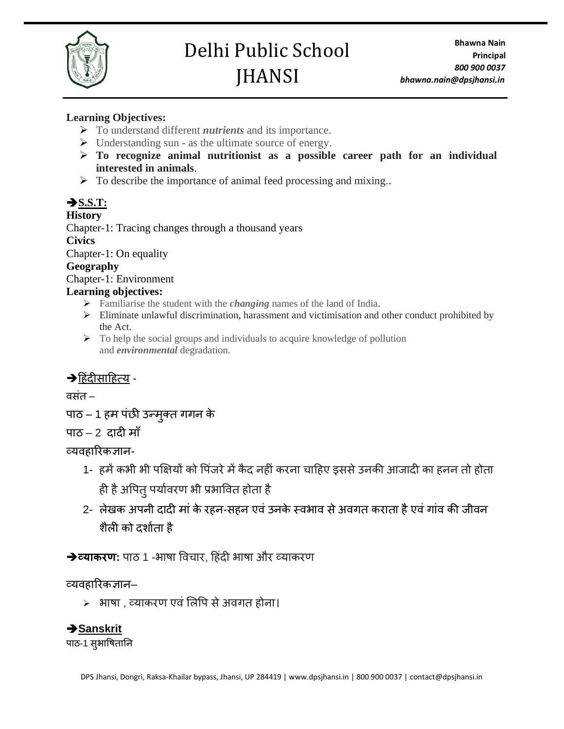

#### **Learning Objectives:**

- ➢ To understand different *nutrients* and its importance.
- $\triangleright$  Understanding sun as the ultimate source of energy.
- ➢ **To recognize animal nutritionist as a possible career path for an individual interested in animals**.
- $\triangleright$  To describe the importance of animal feed processing and mixing.

## ➔**S.S.T:**

#### **History**

Chapter-1: Tracing changes through a thousand years **Civics** Chapter-1: On equality

#### **Geography**

Chapter-1: Environment

#### **Learning objectives:**

- ➢ Familiarise the student with the *changing* names of the land of India.
- ➢ Eliminate unlawful discrimination, harassment and victimisation and other conduct prohibited by the Act.
- ➢ To help the social groups and individuals to acquire knowledge of pollution and *environmental* degradation.

## $\rightarrow$ हिंदीसाहित्य -

वसिंत –

पाठ – 1 हम पंछी [उन्मुक्त](https://www.learncbse.in/ncert-solutions-for-class-7-hindi-chapter-1-%E0%A4%B9%E0%A4%AE-%E0%A4%AA%E0%A4%82%E0%A4%9B%E0%A5%80-%E0%A4%89%E0%A4%A8%E0%A5%8D%E0%A4%AE%E0%A5%81%E0%A4%95%E0%A5%8D%E0%A4%A4-%E0%A4%97%E0%A4%97%E0%A4%A8/) गगन [के](https://www.learncbse.in/ncert-solutions-for-class-7-hindi-chapter-1-%E0%A4%B9%E0%A4%AE-%E0%A4%AA%E0%A4%82%E0%A4%9B%E0%A5%80-%E0%A4%89%E0%A4%A8%E0%A5%8D%E0%A4%AE%E0%A5%81%E0%A4%95%E0%A5%8D%E0%A4%A4-%E0%A4%97%E0%A4%97%E0%A4%A8/)

## पाठ $-2$  [दादी](https://www.learncbse.in/ncert-solutions-for-class-7-hindi-chapter-2-%E0%A4%A6%E0%A4%BE%E0%A4%A6%E0%A5%80-%E0%A4%AE%E0%A4%BE%E0%A4%81/) माँ

## व्यव ारिकज्ञान-

- 1- हमें कभी भी पक्षियों को पिंजरे में कैद नहीं करना चाहिए इससे उनकी आजादी का हनन तो होता ही है अपित् पर्यावरण भी प्रभावित होता है
- 2- लेखक अपनी दादी मां के रहन-सहन एवं उनके स्वभाव से अवगत कराता है एवं गांव की जीवन शैली को दर्शाता है

**→व्याकरण:** पाठ 1 -भाषा विचार, हिंदी भाषा और व्याकरण

## व्यव ारिकज्ञान–

➢ भाषा , व्याकिण एविंललपप सेअवगत ोना।

## ➔**Sanskrit**

पाठ-1 सुभाषितानि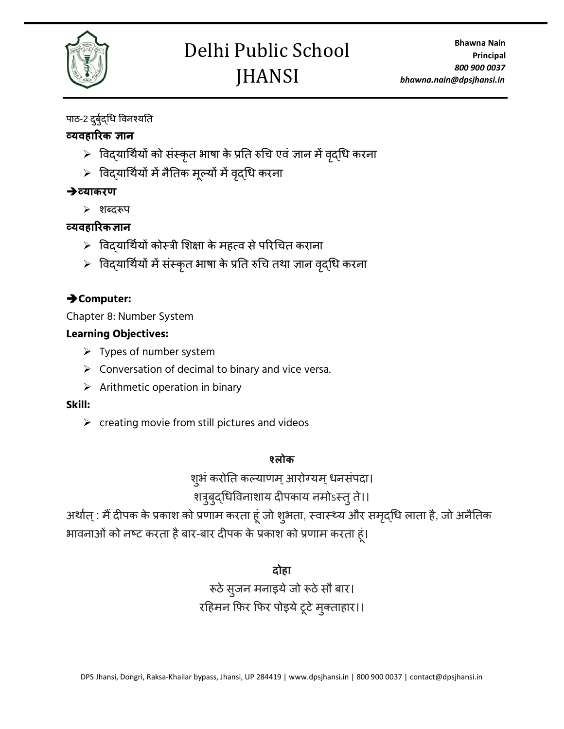

## पाठ-2 दुर्बुद्धि विनश्यति

## **व्यवहाररक ज्ञान**

- $>$  विदयार्थियों को संस्कृत भाषा के प्रति रुचि एवं ज्ञान में वृदधि करना
- ➢ पवद्याधथायों मेंनैनतक मूल्यों मेंवद्ृधि किना

## ➔**व्याकरण**

➢ शब्दरूप

## **व्यवहाररकज्ञान**

- $>$  विदयार्थियों कोस्त्री शिक्षा के महत्व से परिचित कराना
- $>$  विदयार्थियों में संस्कृत भाषा के प्रति रुचि तथा ज्ञान वृदधि करना

## ➔**Computer:**

Chapter 8: Number System

## **Learning Objectives:**

- $\triangleright$  Types of number system
- $\triangleright$  Conversation of decimal to binary and vice versa.
- $\triangleright$  Arithmetic operation in binary

#### **Skill:**

 $\triangleright$  creating movie from still pictures and videos

## **श्लोक**

शुभं करोति कल्याणम् आरोग्यम् धनसंपदा।

## शत्रुबुद्धिविनाशाय दीपकाय नमोऽस्त् ते।।

अर्थात् : मैं दीपक के प्रकाश को प्रणाम करता हूं जो शुभता, स्वास्थ्य और समृद्धि लाता है, जो अनैतिक भावनाओं को नष्ट करता है बार-बार दीपक के प्रकाश को प्रणाम करता हूं।

## **दोहा**

रूठे सुजन मनाइये जो रूठे सौ बार। रहिमन फिर फिर पोइये टूटे मुक्ताहार।।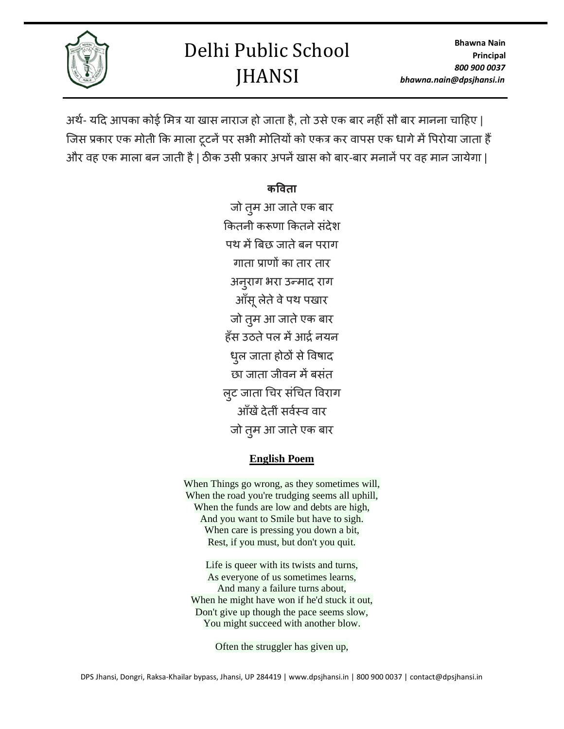**Bhawna Nain Principal** *800 900 0037 bhawna.nain@dpsjhansi.in*

# Delhi Public School **JHANSI**



अर्थ- यदि आपका कोई मित्र या खास नाराज हो जाता है, तो उसे एक बार नहीं सौ बार मानना चाहिए | जिस प्रकार एक मोती कि माला टूटनें पर सभी मोतियों को एकत्र कर वापस एक धागे में पिरोया जाता हैं और वह एक माला बन जाती है | ठीक उसी प्रकार अपनें खास को बार-बार मनानें पर वह मान जायेगा |

## **कववता**

जो तुम आ जाते एक बार कितनी करूणा कितने संदेश पथ में बिछ जाते बन पराग गाता प्राणों का ताि ताि अनुराग भरा उन्माद राग आँसू लेते वे पथ पखार जो तम आ जाते एक बार ाँस उठतेपल मेंआर्द्ानयन धुल जाता होठों से विषाद छा जाता जीवन में बसंत लूट जाता चिर संचित विराग आँखें देतीं सर्वस्व वार जो तुम आ जाते एक बार

## **English Poem**

When Things go wrong, as they sometimes will, When the road you're trudging seems all uphill, When the funds are low and debts are high, And you want to Smile but have to sigh. When care is pressing you down a bit, Rest, if you must, but don't you quit.

Life is queer with its twists and turns, As everyone of us sometimes learns, And many a failure turns about, When he might have won if he'd stuck it out, Don't give up though the pace seems slow, You might succeed with another blow.

Often the struggler has given up,